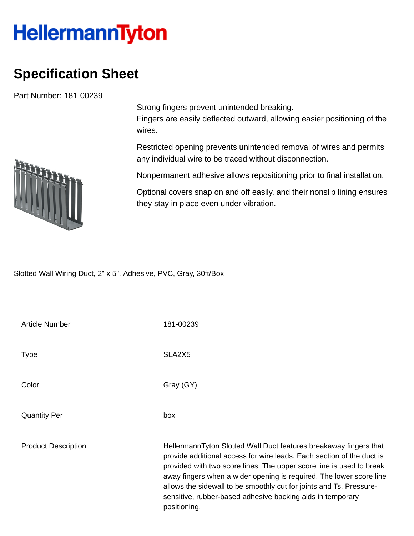## **HellermannTyton**

## **Specification Sheet**

Part Number: 181-00239



Strong fingers prevent unintended breaking.

Fingers are easily deflected outward, allowing easier positioning of the wires.

Restricted opening prevents unintended removal of wires and permits any individual wire to be traced without disconnection.

Nonpermanent adhesive allows repositioning prior to final installation.

Optional covers snap on and off easily, and their nonslip lining ensures they stay in place even under vibration.

Slotted Wall Wiring Duct, 2" x 5", Adhesive, PVC, Gray, 30ft/Box

| Article Number             | 181-00239                                                                                                                                                                                                                                                                                                                                                                                                                                      |
|----------------------------|------------------------------------------------------------------------------------------------------------------------------------------------------------------------------------------------------------------------------------------------------------------------------------------------------------------------------------------------------------------------------------------------------------------------------------------------|
| Type                       | SLA2X5                                                                                                                                                                                                                                                                                                                                                                                                                                         |
| Color                      | Gray (GY)                                                                                                                                                                                                                                                                                                                                                                                                                                      |
| Quantity Per               | box                                                                                                                                                                                                                                                                                                                                                                                                                                            |
| <b>Product Description</b> | HellermannTyton Slotted Wall Duct features breakaway fingers that<br>provide additional access for wire leads. Each section of the duct is<br>provided with two score lines. The upper score line is used to break<br>away fingers when a wider opening is required. The lower score line<br>allows the sidewall to be smoothly cut for joints and Ts. Pressure-<br>sensitive, rubber-based adhesive backing aids in temporary<br>positioning. |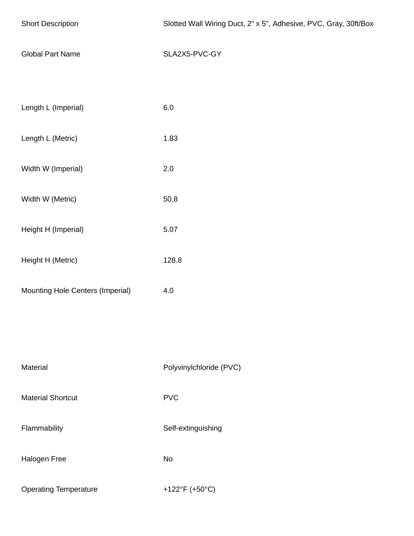| <b>Short Description</b>         | Slotted Wall Wiring Duct, 2" x 5", Adhesive, PVC, Gray, 30ft/Box |  |  |  |
|----------------------------------|------------------------------------------------------------------|--|--|--|
| <b>Global Part Name</b>          | SLA2X5-PVC-GY                                                    |  |  |  |
|                                  |                                                                  |  |  |  |
| Length L (Imperial)              | $6.0\,$                                                          |  |  |  |
| Length L (Metric)                | 1.83                                                             |  |  |  |
| Width W (Imperial)               | $2.0\,$                                                          |  |  |  |
| Width W (Metric)                 | 50.8                                                             |  |  |  |
| Height H (Imperial)              | 5.07                                                             |  |  |  |
| Height H (Metric)                | 128.8                                                            |  |  |  |
| Mounting Hole Centers (Imperial) | 4.0                                                              |  |  |  |
|                                  |                                                                  |  |  |  |
|                                  |                                                                  |  |  |  |
| Material                         | Polyvinylchloride (PVC)                                          |  |  |  |
| <b>Material Shortcut</b>         | <b>PVC</b>                                                       |  |  |  |
| Flammability                     | Self-extinguishing                                               |  |  |  |
| Halogen Free                     | <b>No</b>                                                        |  |  |  |
| <b>Operating Temperature</b>     | +122°F (+50°C)                                                   |  |  |  |